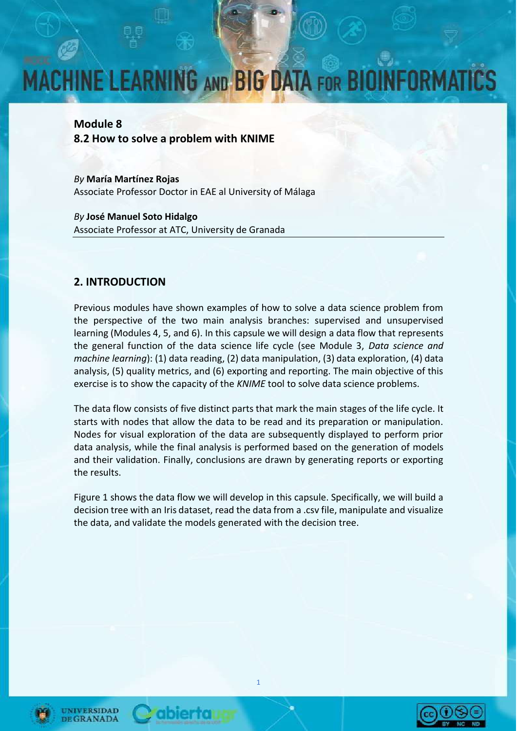## **MACHINE LEARNING AND BIG DATA FOR BIOII FORM**

#### **Module 8**

**8.2 How to solve a problem with KNIME**

*By* **María Martínez Rojas** Associate Professor Doctor in EAE al University of Málaga

*By* **José Manuel Soto Hidalgo** Associate Professor at ATC, University de Granada

#### **2. INTRODUCTION**

Previous modules have shown examples of how to solve a data science problem from the perspective of the two main analysis branches: supervised and unsupervised learning (Modules 4, 5, and 6). In this capsule we will design a data flow that represents the general function of the data science life cycle (see Module 3, *Data science and machine learning*): (1) data reading, (2) data manipulation, (3) data exploration, (4) data analysis, (5) quality metrics, and (6) exporting and reporting. The main objective of this exercise is to show the capacity of the *KNIME* tool to solve data science problems.

The data flow consists of five distinct parts that mark the main stages of the life cycle. It starts with nodes that allow the data to be read and its preparation or manipulation. Nodes for visual exploration of the data are subsequently displayed to perform prior data analysis, while the final analysis is performed based on the generation of models and their validation. Finally, conclusions are drawn by generating reports or exporting the results.

Figure 1 shows the data flow we will develop in this capsule. Specifically, we will build a decision tree with an Iris dataset, read the data from a .csv file, manipulate and visualize the data, and validate the models generated with the decision tree.







ibierta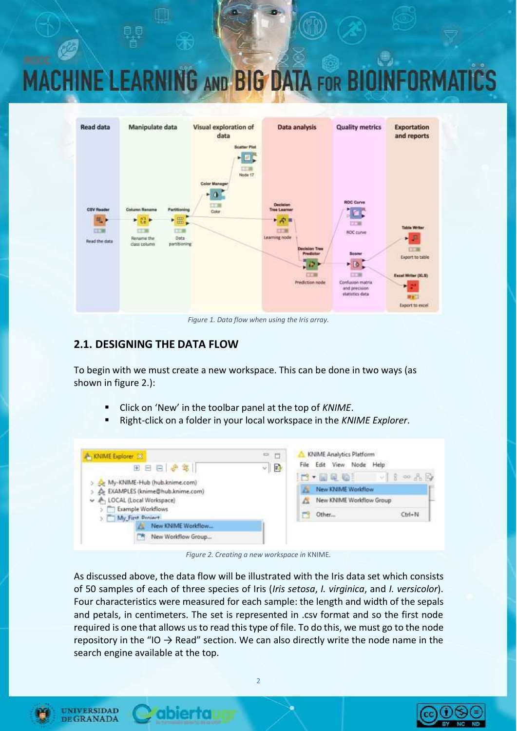## **MACHINE LEARNING AND BIG DATA FOR BIOI**



*Figure 1. Data flow when using the Iris array.*

#### **2.1. DESIGNING THE DATA FLOW**

To begin with we must create a new workspace. This can be done in two ways (as shown in figure 2.):

- Click on 'New' in the toolbar panel at the top of *KNIME*.
- Right-click on a folder in your local workspace in the *KNIME Explorer*.

| <b>A</b> KNIME Explorer 33                           | $\sum_{i=1}^{n}$<br>m |   | KNIME Analytics Platform              |                                      |
|------------------------------------------------------|-----------------------|---|---------------------------------------|--------------------------------------|
| 田田日ま年                                                | 예탈                    |   | View.<br>Node:<br>Edit<br>Help        |                                      |
| My-KNIME-Hub (hub.knime.com)                         |                       |   | $\Box - \boxplus \boxplus \texttt{C}$ | $ v  \tfrac{2}{3}$ or $\frac{1}{10}$ |
| EXAMPLES (knime@hub.knime.com)<br>A                  |                       |   | New KNIME Worldflow                   |                                      |
| A LOCAL (Local Workspace)                            |                       | a | New KNIME Workflow Group              |                                      |
| <b>Example Workflows</b><br>My First Denieet<br>2.14 |                       |   | Other                                 | Ctrl+N                               |
| New KNIME Workflow                                   |                       |   |                                       |                                      |
| New Workflow Group<br>м                              |                       |   |                                       |                                      |

*Figure 2. Creating a new workspace in* KNIME*.*

As discussed above, the data flow will be illustrated with the Iris data set which consists of 50 samples of each of three species of Iris (*Iris setosa*, *I. virginica*, and *I. versicolor*). Four characteristics were measured for each sample: the length and width of the sepals and petals, in centimeters. The set is represented in .csv format and so the first node required is one that allows us to read this type of file. To do this, we must go to the node repository in the "IO  $\rightarrow$  Read" section. We can also directly write the node name in the search engine available at the top.



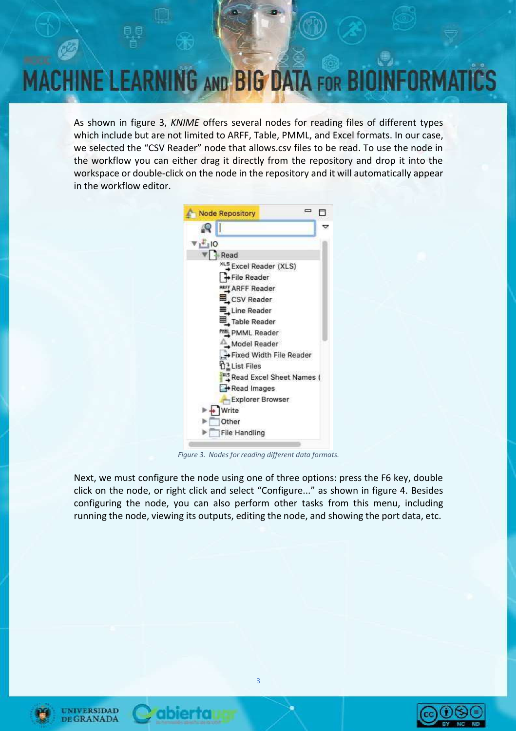

As shown in figure 3, *KNIME* offers several nodes for reading files of different types which include but are not limited to ARFF, Table, PMML, and Excel formats. In our case, we selected the "CSV Reader" node that allows.csv files to be read. To use the node in the workflow you can either drag it directly from the repository and drop it into the workspace or double-click on the node in the repository and it will automatically appear in the workflow editor.



*Figure 3. Nodes for reading different data formats.*

Next, we must configure the node using one of three options: press the F6 key, double click on the node, or right click and select "Configure..." as shown in figure 4. Besides configuring the node, you can also perform other tasks from this menu, including running the node, viewing its outputs, editing the node, and showing the port data, etc.







**Ibierra**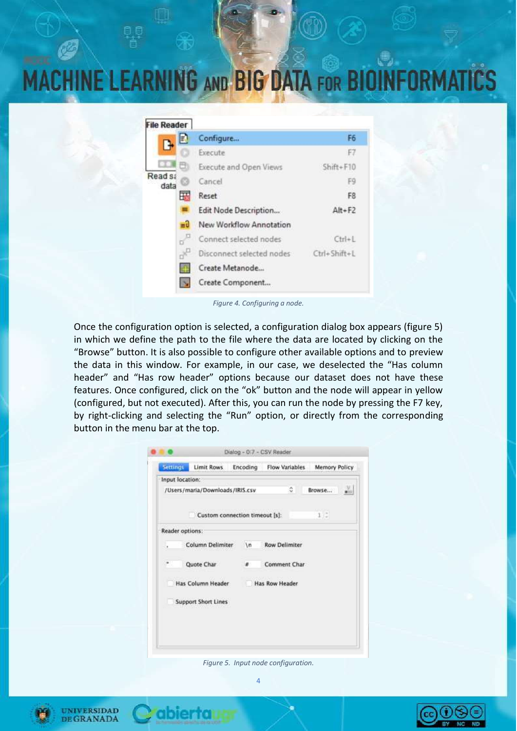### **MACHINE LEARNING AND BIG DATA FOR BIOII FORM**

| <b>File Reader</b> |    |                           |               |
|--------------------|----|---------------------------|---------------|
|                    | n  | Configure                 | F6            |
|                    |    | Execute                   | F7            |
|                    |    | Execute and Open Views    | $Shift + F10$ |
| Read sa<br>data    |    | Cancel                    | F9            |
|                    | Ŧ  | Reset                     | F8            |
|                    |    | Edit Node Description     | $Alt + F2$    |
|                    | Ξü | New Workflow Annotation   |               |
|                    |    | Connect selected nodes    | $Ctrl + 1$    |
|                    | ď  | Disconnect selected nodes | Ctrl+Shift+L  |
|                    |    | Create Metanode           |               |
|                    |    | Create Component          |               |

*Figure 4. Configuring a node.*

Once the configuration option is selected, a configuration dialog box appears (figure 5) in which we define the path to the file where the data are located by clicking on the "Browse" button. It is also possible to configure other available options and to preview the data in this window. For example, in our case, we deselected the "Has column header" and "Has row header" options because our dataset does not have these features. Once configured, click on the "ok" button and the node will appear in yellow (configured, but not executed). After this, you can run the node by pressing the F7 key, by right-clicking and selecting the "Run" option, or directly from the corresponding button in the menu bar at the top.

| <b>Settings</b> | Limit Rows                      | Encoding | Flow Variables       |     | Memory Policy |       |
|-----------------|---------------------------------|----------|----------------------|-----|---------------|-------|
| Input location: |                                 |          |                      |     |               |       |
|                 | /Users/maria/Downloads/IRIS.csv |          |                      | i0. | Browse        | e ici |
|                 | Custom connection timeout [s]:  |          |                      |     | 1/7           |       |
| Reader options: |                                 |          |                      |     |               |       |
|                 | Column Delimiter                | $\{n\}$  | <b>Row Delimiter</b> |     |               |       |
| DH 11           | Quote Char                      | u.       | Comment Char         |     |               |       |
|                 | Has Column Header               |          | Has Row Header       |     |               |       |
|                 | <b>Support Short Lines</b>      |          |                      |     |               |       |
|                 |                                 |          |                      |     |               |       |

*Figure 5. Input node configuration.*





bierta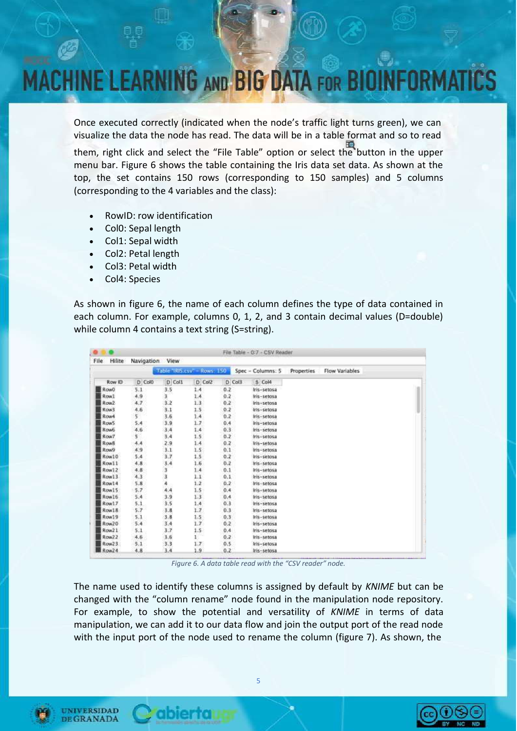## **IINE LEARNING AND BIG DATA FOR BI**

Once executed correctly (indicated when the node's traffic light turns green), we can visualize the data the node has read. The data will be in a table format and so to read

them, right click and select the "File Table" option or select the button in the upper menu bar. Figure 6 shows the table containing the Iris data set data. As shown at the top, the set contains 150 rows (corresponding to 150 samples) and 5 columns (corresponding to the 4 variables and the class):

- RowID: row identification
- Col0: Sepal length
- Col1: Sepal width
- Col2: Petal length
- Col3: Petal width
- Col4: Species

As shown in figure 6, the name of each column defines the type of data contained in each column. For example, columns 0, 1, 2, and 3 contain decimal values (D=double) while column 4 contains a text string (S=string).

| Hilite<br>File   |             | View     |                             |          | File Table - 0:7 - CSV Reader |            |                |  |
|------------------|-------------|----------|-----------------------------|----------|-------------------------------|------------|----------------|--|
|                  | Navigation  |          |                             |          |                               |            |                |  |
|                  |             |          | Table "RIS.csv" - Rows: 150 |          | Spec - Columns: 5             | Properties | Flow Variables |  |
| Row ID           | $D$ Col $0$ | $D$ Coll | D Col2                      | $D$ Col3 | $5$ Col4                      |            |                |  |
| RowO             | 5.1         | 3.5      | 1.4                         | 0.2      | Iris-setosa                   |            |                |  |
| Row1             | 4.9         | 3        | 1.4                         | 0.2      | Iris-setosa                   |            |                |  |
| Row <sub>2</sub> | 4.7         | 3.2      | 1.3                         | 0.2      | Iris-setosa                   |            |                |  |
| Row3             | 4.6         | 3.1      | 1.5                         | 0.2      | Iris-setosa                   |            |                |  |
| Row4             | $5 -$       | 3.6      | 1.4                         | 0.2      | Iris-setosa                   |            |                |  |
| Row5             | 5.4         | 3.9      | 1.7                         | 0.4      | Iris-setosa                   |            |                |  |
| <b>Row6</b>      | 4.6         | 3.4      | 1.4                         | 0.3      | Iris-setosa                   |            |                |  |
| Row7             | $5^{\circ}$ | 3.4      | 1.5                         | 0.2      | Iris-setosa                   |            |                |  |
| Row <sub>8</sub> | 4.4         | 2.9      | 1.4                         | 0.2      | Iris-setosa                   |            |                |  |
| Row9             | 4.9         | 3.1      | $1.5^{\circ}$               | 0.1      | Iris-setosa                   |            |                |  |
| Row10            | 5.4         | 3.7      | $1.5 -$                     | 0.2      | Iris-setosa                   |            |                |  |
| Row11            | 4,8         | 3,4      | 1.6                         | 0.2      | Iris-setosa                   |            |                |  |
| Row12            | 4.8         |          | 1.4                         | 0.1      | Iris-setosa                   |            |                |  |
| Row13            | 4.3         | to as as | 1.1                         | 0.1      | Iris-setosa                   |            |                |  |
| Row14            | 5.8         |          | 1.2                         | 0.2      | Iris-setosa                   |            |                |  |
| Row15            | 5.7         | 4.4      | $1.5 -$                     | 0.4      | iris-setosa                   |            |                |  |
| Row16            | 5.4         | 3.9      | 1.3                         | 0.4      | Iris-setosa                   |            |                |  |
| Row17            | 5.1         | 3.5      | 1.4                         | 0.3      | tris-setosa                   |            |                |  |
| Row18            | 5.7         | 3.8      | 1.7                         | 0.3      | Iris-setosa                   |            |                |  |
| Row19            | 5.1         | 3.8      | 1.5                         | 0.3      | Iris-setosa                   |            |                |  |
| Row20            | 5.4         | 3.4      | 1.7.                        | 0.2      | Iris-setosa                   |            |                |  |
| Row21            | 5.1         | 3.7      | $1.5 -$                     | 0.4      | Iris-setosa                   |            |                |  |
| Row22            | 4.6         | 3.6      | $\mathbf{1}$                | 0.2      | Iris-setosa                   |            |                |  |
| Row23            | 5.1         | 3.3      | 1.7.                        | 0.5      | Iris-setosa                   |            |                |  |
| Row24            | 4.8         | 3.4      | 1.9                         | 0.2      | Iris-setosa                   |            |                |  |

*Figure 6. A data table read with the "CSV reader" node.*

The name used to identify these columns is assigned by default by *KNIME* but can be changed with the "column rename" node found in the manipulation node repository. For example, to show the potential and versatility of *KNIME* in terms of data manipulation, we can add it to our data flow and join the output port of the read node with the input port of the node used to rename the column (figure 7). As shown, the



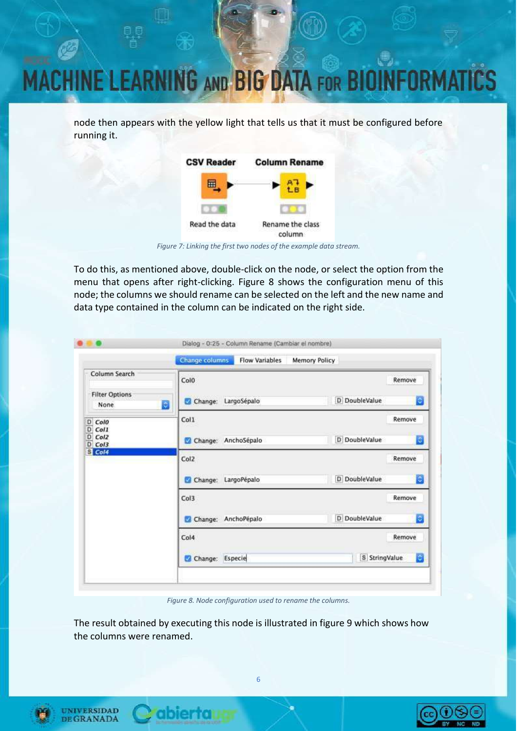## **NE LEARNING AND BIG DATA FOR BIO** IRN

node then appears with the yellow light that tells us that it must be configured before running it.



*Figure 7: Linking the first two nodes of the example data stream.*

To do this, as mentioned above, double-click on the node, or select the option from the menu that opens after right-clicking. Figure 8 shows the configuration menu of this node; the columns we should rename can be selected on the left and the new name and data type contained in the column can be indicated on the right side.

| Column Search                                                |                             |                      |
|--------------------------------------------------------------|-----------------------------|----------------------|
|                                                              | Colo                        | Remove               |
| <b>Filter Options</b><br>None.                               | LargoSépalo<br>Change:<br>ø | D DoubleValue<br>e   |
| Colo<br>D                                                    | Col1                        | Remove               |
| D<br>Col1<br>$\overline{D}$<br>Col <sub>2</sub><br>D<br>Col3 | Change: AnchoSépalo<br>ø    | D DoubleValue<br>le, |
| G Col4                                                       | Col2                        | Remove               |
|                                                              | LargoPépalo<br>Change:      | D DoubleValue<br>ø   |
|                                                              | Col3                        | Remove               |
|                                                              | Change: AnchoPépalo<br>α    | D DoubleValue<br>Ð   |
|                                                              | Col4                        | Remove               |
|                                                              | Especie<br>Change:          | S StringValue<br>e   |

*Figure 8. Node configuration used to rename the columns.*

The result obtained by executing this node is illustrated in figure 9 which shows how the columns were renamed.



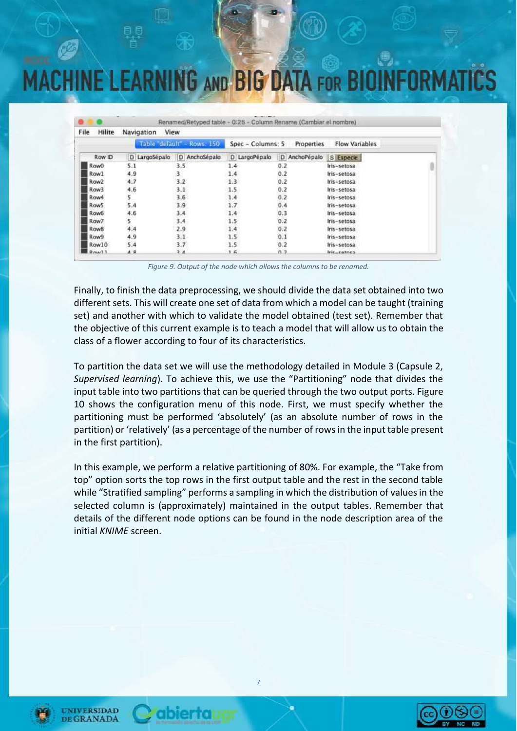## **ACHINE LEARNING AND BIG DATA FOR BIOIN**

| File<br>Hilite     | Navigation    | View                        |                     |               |                       |  |
|--------------------|---------------|-----------------------------|---------------------|---------------|-----------------------|--|
|                    |               | Table "default" - Rows: 150 | $Spec - Columns: 5$ | Properties    | <b>Flow Variables</b> |  |
| Row ID             | D LargoSépalo | D AnchoSépalo               | D LargoPépalo       | D AnchoPépalo | S Especie             |  |
| Row0               | 5.1           | 3.5                         | 1.4                 | 0.2           | Iris-setosa           |  |
| Row1               | 4.9           | 3.                          | 1.4                 | 0.2           | Iris-setosa           |  |
| Row <sub>2</sub>   | 4.7           | 3.2                         | 1.3                 | 0.2           | Iris-setosa           |  |
| Row <sub>3</sub>   | 4.6           | 3.1                         | 1.5                 | 0.2           | Iris-setosa           |  |
| Row4               | 5             | 3.6                         | 1.4                 | 0.2           | Iris-setosa           |  |
| Row5               | 5.4           | 3.9                         | 1.7                 | 0.4           | Iris-setosa           |  |
| Row6               | 4.6           | 3.4                         | 1.4                 | 0.3           | Iris-setosa           |  |
| Raw7               | 5             | 3.4                         | 1.5                 | 0.2           | Iris-setosa           |  |
| Row <sub>8</sub>   | 4.4           | 2.9                         | 1.4                 | 0.2           | Iris-setosa           |  |
| Row9               | 4.9           | 3.1                         | 1.5                 | 0.1           | Iris-setosa           |  |
| Row10              | 5.4           | 3.7                         | 1.5                 | 0.2           | Iris-setosa           |  |
| $D_{\text{max}}11$ | $A$ $R$       | 2.4                         | 1.6                 | 0.3           | Iric_catnes           |  |

*Figure 9. Output of the node which allows the columns to be renamed.*

Finally, to finish the data preprocessing, we should divide the data set obtained into two different sets. This will create one set of data from which a model can be taught (training set) and another with which to validate the model obtained (test set). Remember that the objective of this current example is to teach a model that will allow us to obtain the class of a flower according to four of its characteristics.

To partition the data set we will use the methodology detailed in Module 3 (Capsule 2, *Supervised learning*). To achieve this, we use the "Partitioning" node that divides the input table into two partitions that can be queried through the two output ports. Figure 10 shows the configuration menu of this node. First, we must specify whether the partitioning must be performed 'absolutely' (as an absolute number of rows in the partition) or 'relatively' (as a percentage of the number of rowsin the input table present in the first partition).

In this example, we perform a relative partitioning of 80%. For example, the "Take from top" option sorts the top rows in the first output table and the rest in the second table while "Stratified sampling" performs a sampling in which the distribution of values in the selected column is (approximately) maintained in the output tables. Remember that details of the different node options can be found in the node description area of the initial *KNIME* screen.







ibierta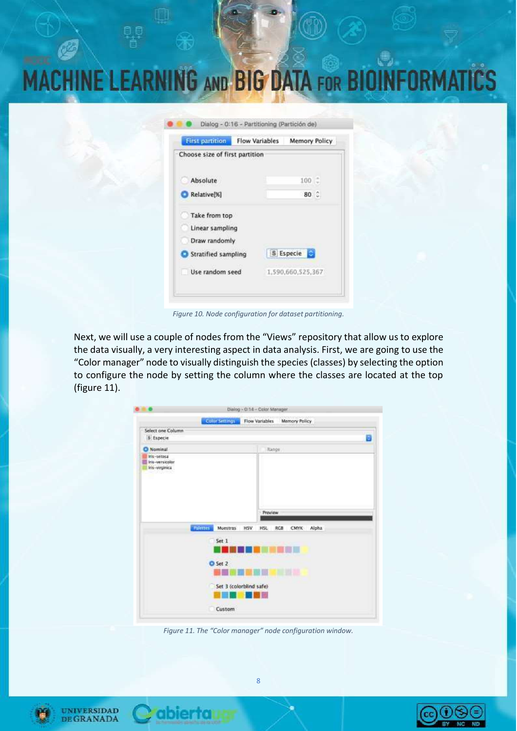| 8 B |                                                          |                                               |                                                         |
|-----|----------------------------------------------------------|-----------------------------------------------|---------------------------------------------------------|
|     |                                                          |                                               |                                                         |
|     |                                                          |                                               | <b>MACHINE LEARNING AND BIG DATA FOR BIOINFORMATICS</b> |
|     |                                                          | Dialog - 0:16 - Partitioning (Partición de)   |                                                         |
|     | <b>First partition</b><br>Choose size of first partition | <b>Flow Variables</b><br><b>Memory Policy</b> |                                                         |
|     | Absolute<br>Relative[%]                                  | $100 -$<br>80 0                               |                                                         |
|     | Take from top<br>Linear sampling<br>Draw randomly        |                                               |                                                         |

Stratified sampling

Use random seed

S Especie

1,590,660,525,367

*Figure 10. Node configuration for dataset partitioning.*

Next, we will use a couple of nodes from the "Views" repository that allow us to explore the data visually, a very interesting aspect in data analysis. First, we are going to use the "Color manager" node to visually distinguish the species (classes) by selecting the option to configure the node by setting the column where the classes are located at the top (figure 11).

|                                                                      |                             | Dialog - 0:14 - Color Manager. |                             |   |
|----------------------------------------------------------------------|-----------------------------|--------------------------------|-----------------------------|---|
|                                                                      | <b>Color Settings</b>       | Flow Variables                 | Memory Policy               |   |
| Select one Column<br><b>S</b> Especie                                |                             |                                |                             | в |
| O Nominal                                                            |                             | Range                          |                             |   |
| Iris-setosa<br>Ins-versicolor<br>Iris-virginica<br><u>walio kuus</u> |                             |                                |                             |   |
|                                                                      | <b>Palerres</b><br>Moestras | Preview<br>HSV.<br><b>HSL</b>  | <b>Alpha</b><br>RCB<br>CMYK |   |
|                                                                      | Set 1                       |                                |                             |   |
|                                                                      | O Set 2                     |                                | <b>EMA</b>                  |   |
|                                                                      |                             | Set 3 (colorblind safe)        |                             |   |
|                                                                      |                             |                                |                             |   |

*Figure 11. The "Color manager" node configuration window.*





abiertau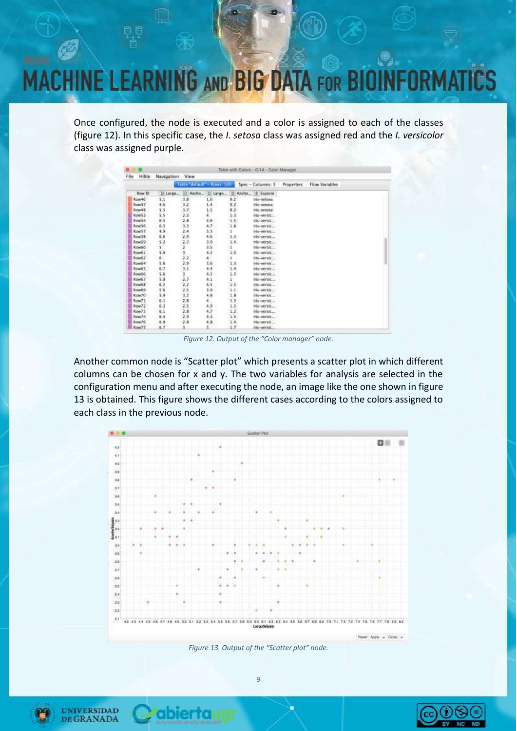## **INE LEARNING AND BIG DATA FOR BIO**

Once configured, the node is executed and a color is assigned to each of the classes (figure 12). In this specific case, the *I. setosa* class was assigned red and the *I. versicolor* class was assigned purple.

|      |              |            |                             |         |               | Table with Colors - 0:14 - Color Manager |             |                |  |
|------|--------------|------------|-----------------------------|---------|---------------|------------------------------------------|-------------|----------------|--|
| File | Hilite       | Navigation | View                        |         |               |                                          |             |                |  |
|      |              |            | Table "default" - Rows: 120 |         |               | Spec - Columns: 5                        | Properties: | Flow Variables |  |
|      | <b>Row D</b> | D Largo    | D Ancho                     | D Large |               | D'Ancho<br>S Especie                     |             |                |  |
|      | Row46        | 5.1        | 3.8                         | 1.6     | 0.2           | ITTS - SATURNA                           |             |                |  |
|      | Row47        | 4.6        | 1.2                         | 1.4     | 0,2.          | Iris-setosa                              |             |                |  |
|      | Row48        | 5.3        | 3.7.                        | 1:5     | 0.2           | Iris-setosa                              |             |                |  |
|      | Row53        | 5.5        | 2.3                         | ٠       | 1.3           | iris-versic                              |             |                |  |
|      | Row54        | 6.5        | 2.8                         | 4.6     | 1.5           | iris-versic                              |             |                |  |
|      | Row56        | 6.3        | 3.3.3                       | 4.7.    | 1.6           | His-versition                            |             |                |  |
|      | Row57        | 4.9        | 2.4                         | 3.3     | ı             | iris-versit                              |             |                |  |
|      | Row58        | 6,6        | 7.9.                        | 4.6     | 1.5           | Itis-versit                              |             |                |  |
|      | Row59        | 5.2        | $-2.7 -$                    | 3.9     | 1.4.          | Itis-versit                              |             |                |  |
|      | Row50        | s.         | ¥                           | 33      | $\mathbf{I}$  | iris-versic                              |             |                |  |
|      | Rows 1       | 5.9        | 3                           | 4.2     | $1.5 -$       | ins-versic                               |             |                |  |
|      | Rough 2      | 60         | ž2.                         | ¥,      | ï             | itis-versit                              |             |                |  |
|      | Road 4       | 5.6        | 2.9.                        | 3.6     | 1.1           | iris-enraic                              |             |                |  |
|      | Roud 5       | 6.7        | 3.1                         | 4.4     | 1.4           | Iris-versit                              |             |                |  |
|      | Rowled       | 5.6        | B.                          | 4.5     | $1.5^{\circ}$ | Iris-versic                              |             |                |  |
|      | Row67        | 5.8        | 2.7.                        | 4.1     | ī             | Iris-versic                              |             |                |  |
|      | Row68        | 6.2        | 2.2                         | 4.5     | 1.5           | Ins-versic                               |             |                |  |
|      | Roud 9       | 5.6        | 25                          | 3.9     | 1.1           | Inte-version                             |             |                |  |
|      | Row70        | 5.9        | 1.2                         | 4.8     | 1.8           | Iris-versit                              |             |                |  |
|      | Row7T        | 6.3        | 2.8                         | ۸<br>ч, | 1.3           | iris-versit                              |             |                |  |
|      | Row72        | 6.3        | 2.5                         | 4.9     | $1.5^{\circ}$ | Iris-versic                              |             |                |  |
|      | Row73        | 6.1        | 2.8                         | 4.7     | 1.2           | Iris-versic                              |             |                |  |
|      | Row74        | 6.4        | 2.9.                        | 4.3.    | 1.3           | ITIS-VEFEE                               |             |                |  |
|      | Row76        | 6.8        | 2.8                         | 4,8     | 1.4           | Inc-yersic                               |             |                |  |
|      | Row/77       | 6.7        |                             | s       | L.7           | ITIS-VECNIC                              |             |                |  |

*Figure 12. Output of the "Color manager" node.*

Another common node is "Scatter plot" which presents a scatter plot in which different columns can be chosen for x and y. The two variables for analysis are selected in the configuration menu and after executing the node, an image like the one shown in figure 13 is obtained. This figure shows the different cases according to the colors assigned to each class in the previous node.



*Figure 13. Output of the "Scatter plot" node.*



**UNIVERSIDAD** 

**DE GRANADA** 

ibierta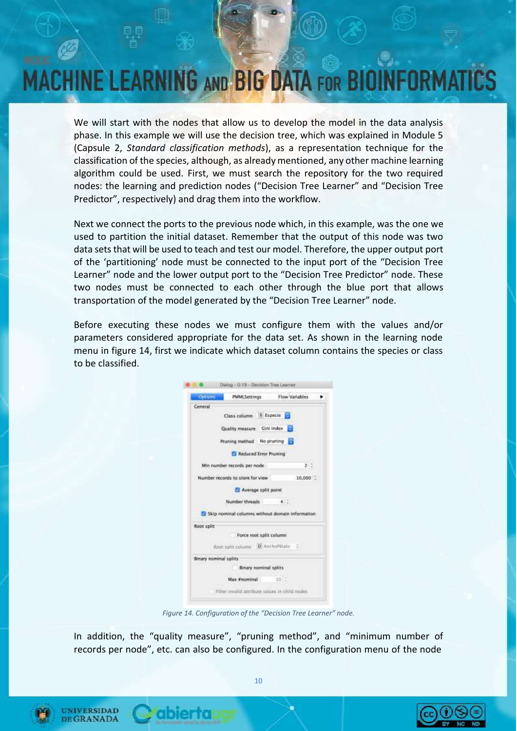## **INE LEARNING AND BIG DATA FOR BIO**

We will start with the nodes that allow us to develop the model in the data analysis phase. In this example we will use the decision tree, which was explained in Module 5 (Capsule 2, *Standard classification methods*), as a representation technique for the classification of the species, although, as alreadymentioned, any other machine learning algorithm could be used. First, we must search the repository for the two required nodes: the learning and prediction nodes ("Decision Tree Learner" and "Decision Tree Predictor", respectively) and drag them into the workflow.

Next we connect the ports to the previous node which, in this example, was the one we used to partition the initial dataset. Remember that the output of this node was two data sets that will be used to teach and test our model. Therefore, the upper output port of the 'partitioning' node must be connected to the input port of the "Decision Tree Learner" node and the lower output port to the "Decision Tree Predictor" node. These two nodes must be connected to each other through the blue port that allows transportation of the model generated by the "Decision Tree Learner" node.

Before executing these nodes we must configure them with the values and/or parameters considered appropriate for the data set. As shown in the learning node menu in figure 14, first we indicate which dataset column contains the species or class to be classified.

| Options.   | <b>PMMLSettings</b>                             | Flow Variables |
|------------|-------------------------------------------------|----------------|
| General    |                                                 |                |
|            | Class column 5 Especie 1                        |                |
|            | Quality measure Gini index                      |                |
|            | Pruning method No pruning                       |                |
|            | Reduced Error Pruning                           |                |
|            | Min number records per node                     | $2 - 2$        |
|            | Number records to store for view                | 10,000         |
|            | Average split point                             |                |
|            | Number threads                                  | $40 - $        |
|            | Skip nominal columns without domain information |                |
| Root split |                                                 |                |
|            | Force root split column                         |                |
|            | Root solit column 10 AnchoPétalo 0              |                |
|            | <b>Binary nominal splits</b>                    |                |
|            | <b>Binary nominal splits</b>                    |                |
|            | Max #nominal                                    | 10.3           |
|            |                                                 |                |

*Figure 14. Configuration of the "Decision Tree Learner" node.*

In addition, the "quality measure", "pruning method", and "minimum number of records per node", etc. can also be configured. In the configuration menu of the node



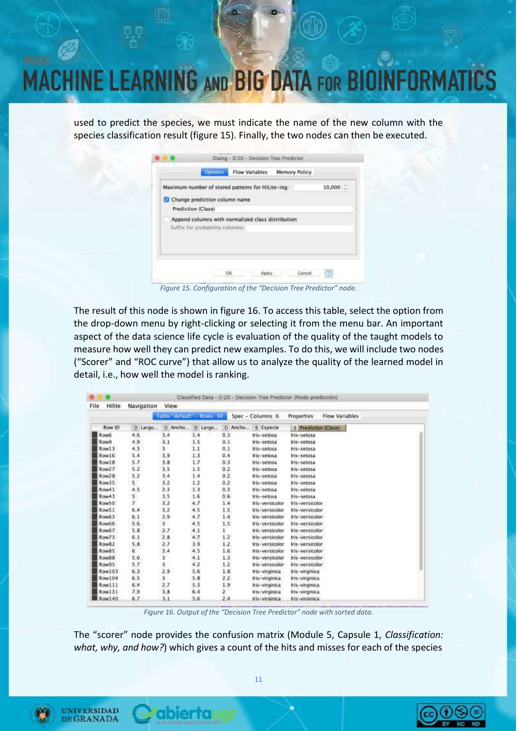# NE LEARNING AND BIG DATA FOR BI

used to predict the species, we must indicate the name of the new column with the species classification result (figure 15). Finally, the two nodes can then be executed.

| Maximum number of stored patterns for HiLite-ing:                                    |  | $10,000$ $\degree$ |
|--------------------------------------------------------------------------------------|--|--------------------|
| Change prediction column name                                                        |  |                    |
| Prediction (Clase)                                                                   |  |                    |
| Append columns with normalized class distribution<br>Suffix for probability columns: |  |                    |
|                                                                                      |  |                    |

*Figure 15. Configuration of the "Decision Tree Predictor" node.*

The result of this node is shown in figure 16. To access this table, select the option from the drop-down menu by right-clicking or selecting it from the menu bar. An important aspect of the data science life cycle is evaluation of the quality of the taught models to measure how well they can predict new examples. To do this, we will include two nodes ("Scorer" and "ROC curve") that allow us to analyze the quality of the learned model in detail, i.e., how well the model is ranking.

| File<br>Hilite | Navigation        | View                    |                 |               |                     |                              |
|----------------|-------------------|-------------------------|-----------------|---------------|---------------------|------------------------------|
|                |                   | Table default - Rows 30 |                 |               | Spec - Columns: 6   | Properties<br>Flow Variables |
| Row ID         | D Largo           |                         | D Ancho D Largo |               | D Ancho   S Especie | S Prediction (Clase)         |
| <b>Row6</b>    | 4,6               | 3.4                     | 1.4             | 0.3           | Iris-setosa         | Iris-setosa                  |
| Row9           | 4.9               | 3.1                     | 1.5             | 0.1           | Iris-setosa         | Iris-setosa                  |
| Row13          | 4.3               | 3.                      | 1.1             | 0.1           | Iris-setosa         | Iris-setosa                  |
| Row16          | 5.4               | 3.9                     | 1.3             | 0.4           | Iris-setosa         | Iris-setosa                  |
| Row18          | 5:7               | 3.8                     | 1.7             | 0.3           | Iris-setosa         | Iris-setosa                  |
| Row27          | 5.2               | 3.5                     | 1.5             | 0.2           | Iris-setosa         | Iris-setosa                  |
| Row28          | 5.2               | 3,4                     | 1.4             | 0.2           | Iris-setosa         | Iris-setosa                  |
| Row35          | S.                | 3.2                     | 1.2             | 0.2           | Iris-setosa         | Iris-setosa                  |
| Row41          | 4,5               | 2.3                     | 1.3             | 0.3           | tris-setosa         | Iris-setosa                  |
| Row43          | $5^{\circ}$       | 3.5                     | 1.6             | 0.6           | Iris-setosa         | Iris-setosa                  |
| Row50          | $\overline{\tau}$ | 3,2                     | 4.7             | 1.4           | Iris-versicolor     | Iris-versicolor.             |
| Row51          | 6.4               | 3.2                     | 4.5             | $1.5^{\circ}$ | Iris-versicolor     | Iris-versicolor              |
| Row63          | 6.1               | 2,9                     | 4.7             | 1.4           | Iris-versicolor     | Iris-versicolar              |
| Row66          | 5.6               | Ŧ                       | 4.5             | 1.5           | Iris-versicolor     | Iris-versicolor              |
| Row67          | 5.8               | 2.7                     | 4.1             | $\mathbf{1}$  | Iris-versicolor     | Iris-versicolor              |
| Row73          | 6.1               | 2.8                     | 4.7             | 1.2           | Iris-versicolor     | Iris-versicolor              |
| Row82          | 5.8               | 2.7                     | 3.9             | 1.2           | Iris-versicolor     | Iris-versicolor              |
| Row85          | 6.                | 3,4                     | 4.5             | 1.6           | Iris-versicolor     | Iris-versicalar              |
| Row88          | 5.6               | 3                       | 4.1             | 1.3.          | Iris-versicolor     | Iris-versicolor              |
| Row95          | 5.7               | 3.                      | 4.2             | 1.2           | Iris-versicolor     | Iris-versicolor              |
| Row103         | 6.3               | 2.9                     | 5.6             | 1.8           | Iris-virginica      | Iris-virginica               |
| <b>Row104</b>  | 6,5               | ï                       | 5.8             | 2.2.          | Iris-virginica      | Iris-virginica               |
| Row111         | 6.4               | 2.7                     | 5.3             | 1.9           | Iris-virginica      | Iris-virginica               |
| Row131         | 7.9               | 3.8                     | 6.4             | 2             | Iris-virginica      | Iris-virginica               |
| <b>Row140</b>  | 6.7               | 3.1                     | 5.6             | 2.4           | Iris-virginica      | Iris-virginica               |

*Figure 16. Output of the "Decision Tree Predictor" node with sorted data.*

The "scorer" node provides the confusion matrix (Module 5, Capsule 1, *Classification: what, why, and how?*) which gives a count of the hits and misses for each of the species

11



UNIVERSIDAD **DE GRANADA** 

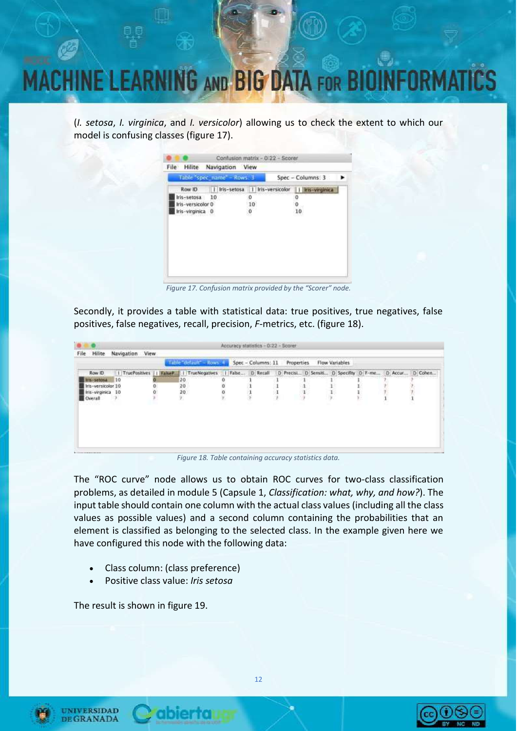

(*I. setosa*, *I. virginica*, and *I. versicolor*) allowing us to check the extent to which our model is confusing classes (figure 17).

|                   | Table spec name - Rows. 3 |                                   | Spec - Columns: 3 |
|-------------------|---------------------------|-----------------------------------|-------------------|
| Row ID            |                           | Iris-setosa   I   Iris-versicolor | Iris-virginica    |
| Iris-setosa       | 10                        | ō                                 |                   |
| Iris-versicolar 0 |                           | 10                                |                   |
| Iris-virginica 0  |                           | Ö                                 | 10                |
|                   |                           |                                   |                   |
|                   |                           |                                   |                   |
|                   |                           |                                   |                   |
|                   |                           |                                   |                   |

*Figure 17. Confusion matrix provided by the "Scorer" node.*

Secondly, it provides a table with statistical data: true positives, true negatives, false positives, false negatives, recall, precision, *F*-metrics, etc. (figure 18).

|                    |                 |        | Trible patricit - House J. Spec - Columns: 11 Properties Flow Variables |          |  |   |  |         |
|--------------------|-----------------|--------|-------------------------------------------------------------------------|----------|--|---|--|---------|
| Row ID             | I TruePositives | FaheP. | 1 TrueNegatives                                                         |          |  |   |  | D Cohen |
| Ins-setosa 10      |                 | ۰      | <b><i>Market School School School</i></b><br>$20$<br>$20$<br>$20$       | ů        |  | . |  |         |
| Iris-versicolor 10 |                 | o.     |                                                                         | $\Omega$ |  |   |  |         |
| Iris-virginica 10  |                 |        |                                                                         | ö        |  |   |  |         |
| Civerall           | э.              |        |                                                                         |          |  |   |  |         |
|                    |                 |        |                                                                         |          |  |   |  |         |
|                    |                 |        |                                                                         |          |  |   |  |         |
|                    |                 |        |                                                                         |          |  |   |  |         |
|                    |                 |        |                                                                         |          |  |   |  |         |
|                    |                 |        |                                                                         |          |  |   |  |         |

*Figure 18. Table containing accuracy statistics data.*

The "ROC curve" node allows us to obtain ROC curves for two-class classification problems, as detailed in module 5 (Capsule 1, *Classification: what, why, and how?*). The input table should contain one column with the actual class values (including all the class values as possible values) and a second column containing the probabilities that an element is classified as belonging to the selected class. In the example given here we have configured this node with the following data:

- Class column: (class preference)
- Positive class value: *Iris setosa*

The result is shown in figure 19.



**INIVERSIDAD** 

**GRANADA**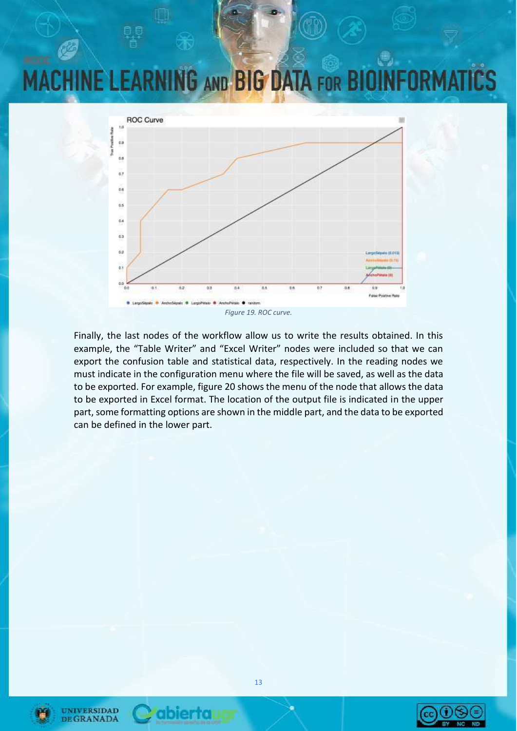#### **INE LEARNING AND BIG DATA FOR BIOI** IR.



Finally, the last nodes of the workflow allow us to write the results obtained. In this example, the "Table Writer" and "Excel Writer" nodes were included so that we can export the confusion table and statistical data, respectively. In the reading nodes we must indicate in the configuration menu where the file will be saved, as well as the data to be exported. For example, figure 20 showsthe menu of the node that allows the data to be exported in Excel format. The location of the output file is indicated in the upper part, some formatting options are shown in the middle part, and the data to be exported can be defined in the lower part.



**UNIVERSIDAD DE GRANADA** 



abiertal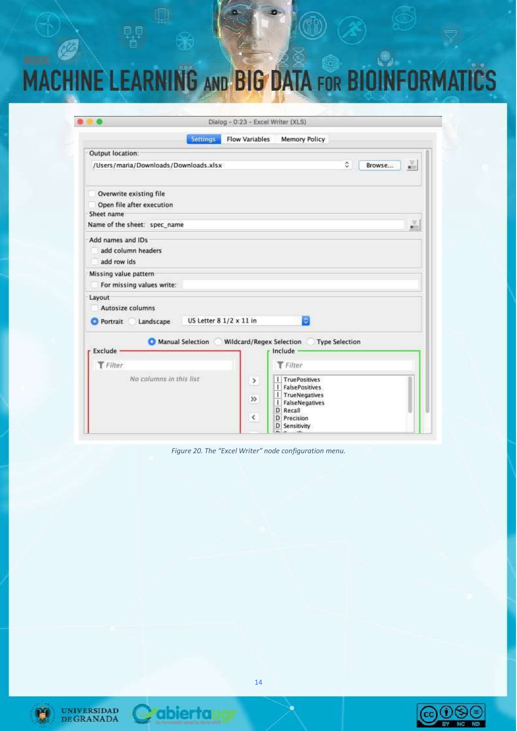# MACHINE LEARNING AND BIG DATA FOR BIOINFORMATICS

|                                                        |                               | Dialog - 0:23 - Excel Writer (XLS) |                                                                                                          |                       |                  |
|--------------------------------------------------------|-------------------------------|------------------------------------|----------------------------------------------------------------------------------------------------------|-----------------------|------------------|
|                                                        | <b>Settings</b>               | <b>Flow Variables</b>              | <b>Memory Policy</b>                                                                                     |                       |                  |
| Output location:                                       |                               |                                    |                                                                                                          |                       |                  |
| /Users/maria/Downloads/Downloads.xlsx                  |                               |                                    |                                                                                                          | ٥<br>Browse           | ă.               |
| Overwrite existing file                                |                               |                                    |                                                                                                          |                       |                  |
| Open file after execution                              |                               |                                    |                                                                                                          |                       |                  |
| Sheet name                                             |                               |                                    |                                                                                                          |                       |                  |
| Name of the sheet: spec name                           |                               |                                    |                                                                                                          |                       | M<br><b>Mill</b> |
| Add names and IDs<br>add column headers<br>add row ids |                               |                                    |                                                                                                          |                       |                  |
| Missing value pattern<br>For missing values write:     |                               |                                    |                                                                                                          |                       |                  |
| Layout<br>Autosize columns<br>Portrait<br>Landscape    | US Letter $81/2 \times 11$ in |                                    | ie.                                                                                                      |                       |                  |
| <b>Exclude</b>                                         | Manual Selection              | Wildcard/Regex Selection           | Include                                                                                                  | <b>Type Selection</b> |                  |
| Filter                                                 |                               |                                    | $T$ Filter                                                                                               |                       |                  |
| No columns in this list                                |                               | $\,>\,$<br>$\gg$<br>$\leq$         | I TruePositives<br>I FalsePositives<br>I TrueNegatives<br>FalseNegatives<br>Н<br>D Recall<br>D Precision |                       |                  |

*Figure 20. The "Excel Writer" node configuration menu.*